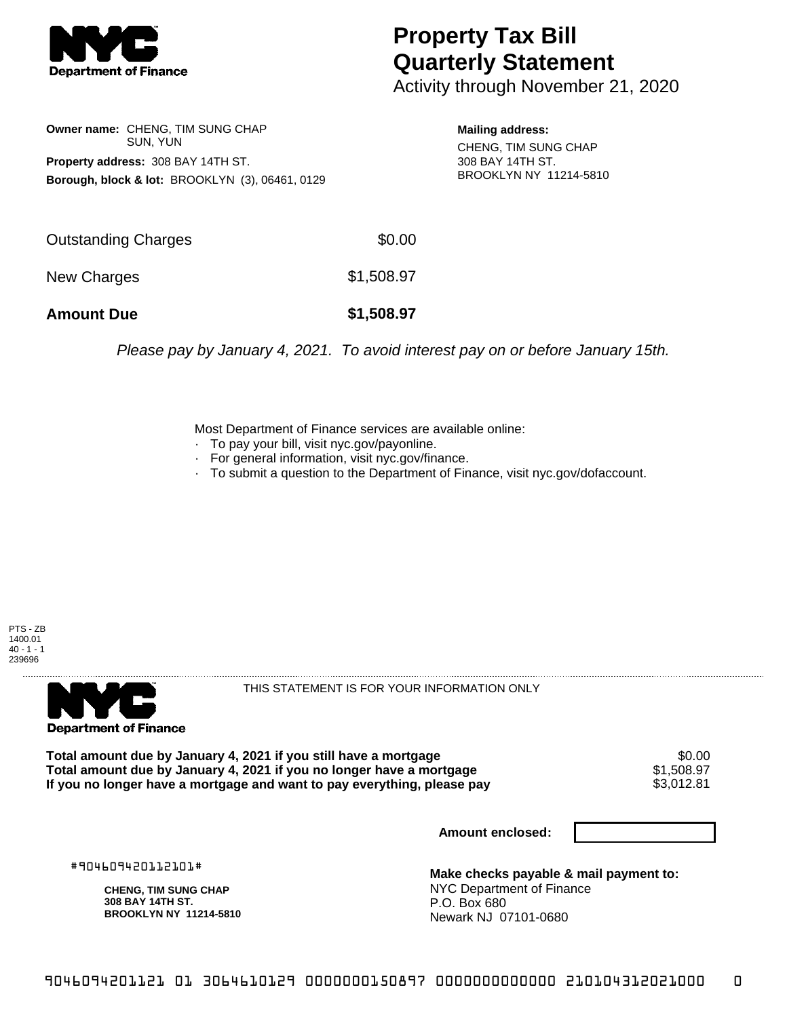

## **Property Tax Bill Quarterly Statement**

Activity through November 21, 2020

**Owner name:** CHENG, TIM SUNG CHAP SUN, YUN **Property address:** 308 BAY 14TH ST. **Borough, block & lot:** BROOKLYN (3), 06461, 0129

**Mailing address:** CHENG, TIM SUNG CHAP 308 BAY 14TH ST. BROOKLYN NY 11214-5810

| <b>Amount Due</b>   | \$1,508.97 |
|---------------------|------------|
| New Charges         | \$1,508.97 |
| Outstanding Charges | \$0.00     |

Please pay by January 4, 2021. To avoid interest pay on or before January 15th.

Most Department of Finance services are available online:

- · To pay your bill, visit nyc.gov/payonline.
- For general information, visit nyc.gov/finance.
- · To submit a question to the Department of Finance, visit nyc.gov/dofaccount.





THIS STATEMENT IS FOR YOUR INFORMATION ONLY

Total amount due by January 4, 2021 if you still have a mortgage \$0.00<br>Total amount due by January 4, 2021 if you no longer have a mortgage \$1.508.97 **Total amount due by January 4, 2021 if you no longer have a mortgage**  $$1,508.97$ **<br>If you no longer have a mortgage and want to pay everything, please pay**  $$3,012.81$ If you no longer have a mortgage and want to pay everything, please pay

**Amount enclosed:**

#904609420112101#

**CHENG, TIM SUNG CHAP 308 BAY 14TH ST. BROOKLYN NY 11214-5810**

**Make checks payable & mail payment to:** NYC Department of Finance P.O. Box 680 Newark NJ 07101-0680